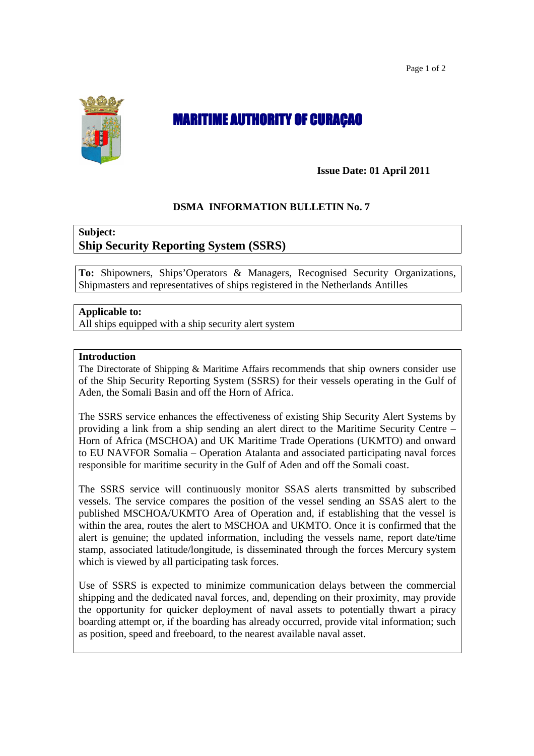Page 1 of 2



# **MARITIME AUTHORITY OF CURAÇAO**

**Issue Date: 01 April 2011** 

## **DSMA INFORMATION BULLETIN No. 7**

## **Subject: Ship Security Reporting System (SSRS)**

**To:** Shipowners, Ships'Operators & Managers, Recognised Security Organizations, Shipmasters and representatives of ships registered in the Netherlands Antilles

### **Applicable to:**

All ships equipped with a ship security alert system

#### **Introduction**

The Directorate of Shipping & Maritime Affairs recommends that ship owners consider use of the Ship Security Reporting System (SSRS) for their vessels operating in the Gulf of Aden, the Somali Basin and off the Horn of Africa.

The SSRS service enhances the effectiveness of existing Ship Security Alert Systems by providing a link from a ship sending an alert direct to the Maritime Security Centre – Horn of Africa (MSCHOA) and UK Maritime Trade Operations (UKMTO) and onward to EU NAVFOR Somalia – Operation Atalanta and associated participating naval forces responsible for maritime security in the Gulf of Aden and off the Somali coast.

The SSRS service will continuously monitor SSAS alerts transmitted by subscribed vessels. The service compares the position of the vessel sending an SSAS alert to the published MSCHOA/UKMTO Area of Operation and, if establishing that the vessel is within the area, routes the alert to MSCHOA and UKMTO. Once it is confirmed that the alert is genuine; the updated information, including the vessels name, report date/time stamp, associated latitude/longitude, is disseminated through the forces Mercury system which is viewed by all participating task forces.

Use of SSRS is expected to minimize communication delays between the commercial shipping and the dedicated naval forces, and, depending on their proximity, may provide the opportunity for quicker deployment of naval assets to potentially thwart a piracy boarding attempt or, if the boarding has already occurred, provide vital information; such as position, speed and freeboard, to the nearest available naval asset.